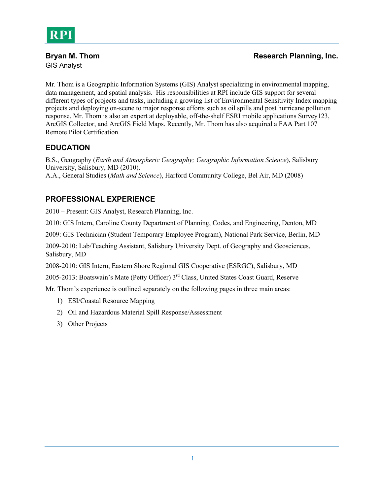

GIS Analyst

Mr. Thom is a Geographic Information Systems (GIS) Analyst specializing in environmental mapping, data management, and spatial analysis. His responsibilities at RPI include GIS support for several different types of projects and tasks, including a growing list of Environmental Sensitivity Index mapping projects and deploying on-scene to major response efforts such as oil spills and post hurricane pollution response. Mr. Thom is also an expert at deployable, off-the-shelf ESRI mobile applications Survey123, ArcGIS Collector, and ArcGIS Field Maps. Recently, Mr. Thom has also acquired a FAA Part 107 Remote Pilot Certification.

# **EDUCATION**

B.S., Geography (*Earth and Atmospheric Geography; Geographic Information Science*), Salisbury University, Salisbury, MD (2010). A.A., General Studies (*Math and Science*), Harford Community College, Bel Air, MD (2008)

# **PROFESSIONAL EXPERIENCE**

2010 – Present: GIS Analyst, Research Planning, Inc.

2010: GIS Intern, Caroline County Department of Planning, Codes, and Engineering, Denton, MD

2009: GIS Technician (Student Temporary Employee Program), National Park Service, Berlin, MD

2009-2010: Lab/Teaching Assistant, Salisbury University Dept. of Geography and Geosciences, Salisbury, MD

2008-2010: GIS Intern, Eastern Shore Regional GIS Cooperative (ESRGC), Salisbury, MD

2005-2013: Boatswain's Mate (Petty Officer) 3rd Class, United States Coast Guard, Reserve

Mr. Thom's experience is outlined separately on the following pages in three main areas:

- 1) ESI/Coastal Resource Mapping
- 2) Oil and Hazardous Material Spill Response/Assessment
- 3) Other Projects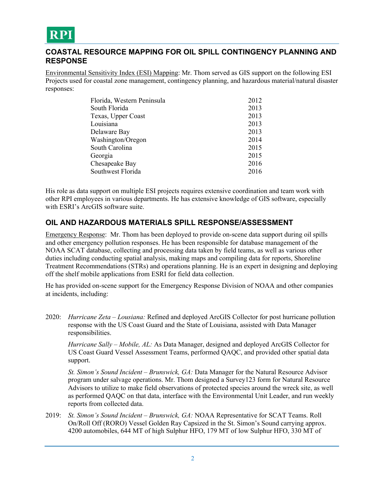

#### **COASTAL RESOURCE MAPPING FOR OIL SPILL CONTINGENCY PLANNING AND RESPONSE**

Environmental Sensitivity Index (ESI) Mapping: Mr. Thom served as GIS support on the following ESI Projects used for coastal zone management, contingency planning, and hazardous material/natural disaster responses:

| Florida, Western Peninsula | 2012 |
|----------------------------|------|
| South Florida              | 2013 |
| Texas, Upper Coast         | 2013 |
| Louisiana                  | 2013 |
| Delaware Bay               | 2013 |
| Washington/Oregon          | 2014 |
| South Carolina             | 2015 |
| Georgia                    | 2015 |
| Chesapeake Bay             | 2016 |
| Southwest Florida          | 2016 |
|                            |      |

His role as data support on multiple ESI projects requires extensive coordination and team work with other RPI employees in various departments. He has extensive knowledge of GIS software, especially with ESRI's ArcGIS software suite.

### **OIL AND HAZARDOUS MATERIALS SPILL RESPONSE/ASSESSMENT**

Emergency Response: Mr. Thom has been deployed to provide on-scene data support during oil spills and other emergency pollution responses. He has been responsible for database management of the NOAA SCAT database, collecting and processing data taken by field teams, as well as various other duties including conducting spatial analysis, making maps and compiling data for reports, Shoreline Treatment Recommendations (STRs) and operations planning. He is an expert in designing and deploying off the shelf mobile applications from ESRI for field data collection.

He has provided on-scene support for the Emergency Response Division of NOAA and other companies at incidents, including:

2020: *Hurricane Zeta – Lousiana:* Refined and deployed ArcGIS Collector for post hurricane pollution response with the US Coast Guard and the State of Louisiana, assisted with Data Manager responsibilities.

*Hurricane Sally – Mobile, AL:* As Data Manager, designed and deployed ArcGIS Collector for US Coast Guard Vessel Assessment Teams, performed QAQC, and provided other spatial data support.

*St. Simon's Sound Incident – Brunswick, GA:* Data Manager for the Natural Resource Advisor program under salvage operations. Mr. Thom designed a Survey123 form for Natural Resource Advisors to utilize to make field observations of protected species around the wreck site, as well as performed QAQC on that data, interface with the Environmental Unit Leader, and run weekly reports from collected data.

2019: *St. Simon's Sound Incident – Brunswick, GA:* NOAA Representative for SCAT Teams. Roll On/Roll Off (RORO) Vessel Golden Ray Capsized in the St. Simon's Sound carrying approx. 4200 automobiles, 644 MT of high Sulphur HFO, 179 MT of low Sulphur HFO, 330 MT of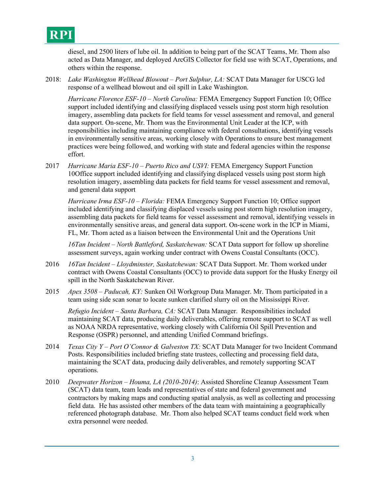# **RPI**

diesel, and 2500 liters of lube oil. In addition to being part of the SCAT Teams, Mr. Thom also acted as Data Manager, and deployed ArcGIS Collector for field use with SCAT, Operations, and others within the response.

2018: *Lake Washington Wellhead Blowout – Port Sulphur, LA:* SCAT Data Manager for USCG led response of a wellhead blowout and oil spill in Lake Washington.

*Hurricane Florence ESF-10 – North Carolina:* FEMA Emergency Support Function 10; Office support included identifying and classifying displaced vessels using post storm high resolution imagery, assembling data packets for field teams for vessel assessment and removal, and general data support. On-scene, Mr. Thom was the Environmental Unit Leader at the ICP, with responsibilities including maintaining compliance with federal consultations, identifying vessels in environmentally sensitive areas, working closely with Operations to ensure best management practices were being followed, and working with state and federal agencies within the response effort.

2017 *Hurricane Maria ESF-10 – Puerto Rico and USVI:* FEMA Emergency Support Function 10Office support included identifying and classifying displaced vessels using post storm high resolution imagery, assembling data packets for field teams for vessel assessment and removal, and general data support

*Hurricane Irma ESF-10 – Florida:* FEMA Emergency Support Function 10; Office support included identifying and classifying displaced vessels using post storm high resolution imagery, assembling data packets for field teams for vessel assessment and removal, identifying vessels in environmentally sensitive areas, and general data support. On-scene work in the ICP in Miami, FL, Mr. Thom acted as a liaison between the Environmental Unit and the Operations Unit

*16Tan Incident – North Battleford, Saskatchewan:* SCAT Data support for follow up shoreline assessment surveys, again working under contract with Owens Coastal Consultants (OCC).

- 2016 *16Tan Incident – Lloydminster, Saskatchewan:* SCAT Data Support. Mr. Thom worked under contract with Owens Coastal Consultants (OCC) to provide data support for the Husky Energy oil spill in the North Saskatchewan River.
- 2015 *Apex 3508 – Paducah, KY:* Sunken Oil Workgroup Data Manager. Mr. Thom participated in a team using side scan sonar to locate sunken clarified slurry oil on the Mississippi River.

*Refugio Incident – Santa Barbara, CA:* SCAT Data Manager. Responsibilities included maintaining SCAT data, producing daily deliverables, offering remote support to SCAT as well as NOAA NRDA representative, working closely with California Oil Spill Prevention and Response (OSPR) personnel, and attending Unified Command briefings.

- 2014 *Texas City Y – Port O'Connor & Galveston TX:* SCAT Data Manager for two Incident Command Posts. Responsibilities included briefing state trustees, collecting and processing field data, maintaining the SCAT data, producing daily deliverables, and remotely supporting SCAT operations.
- 2010 *Deepwater Horizon – Houma, LA (2010-2014)*: Assisted Shoreline Cleanup Assessment Team (SCAT) data team, team leads and representatives of state and federal government and contractors by making maps and conducting spatial analysis, as well as collecting and processing field data. He has assisted other members of the data team with maintaining a geographically referenced photograph database. Mr. Thom also helped SCAT teams conduct field work when extra personnel were needed.